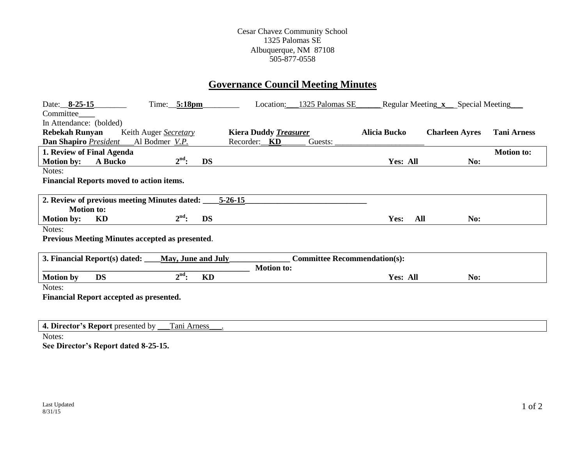#### Cesar Chavez Community School 1325 Palomas SE Albuquerque, NM 87108 505-877-0558

# **Governance Council Meeting Minutes**

| Date: 8-25-15                                          | $Time:$ 5:18pm            |               | Location:                    | 1325 Palomas SE                     |                     | Regular Meeting x Special Meeting |                    |
|--------------------------------------------------------|---------------------------|---------------|------------------------------|-------------------------------------|---------------------|-----------------------------------|--------------------|
| Committee_                                             |                           |               |                              |                                     |                     |                                   |                    |
| In Attendance: (bolded)                                |                           |               |                              |                                     |                     |                                   |                    |
| <b>Rebekah Runyan</b>                                  | Keith Auger Secretary     |               | <b>Kiera Duddy Treasurer</b> |                                     | <b>Alicia Bucko</b> | <b>Charleen Ayres</b>             | <b>Tani Arness</b> |
| Dan Shapiro President                                  | Al Bodmer V.P.            | Recorder: KD  |                              | Guests:                             |                     |                                   |                    |
| 1. Review of Final Agenda                              |                           |               |                              |                                     |                     |                                   | <b>Motion to:</b>  |
| A Bucko<br><b>Motion by:</b>                           | $2nd$ :                   | <b>DS</b>     |                              |                                     | Yes: All            | No:                               |                    |
| Notes:                                                 |                           |               |                              |                                     |                     |                                   |                    |
| <b>Financial Reports moved to action items.</b>        |                           |               |                              |                                     |                     |                                   |                    |
|                                                        |                           |               |                              |                                     |                     |                                   |                    |
| 2. Review of previous meeting Minutes dated:           |                           | $5 - 26 - 15$ |                              |                                     |                     |                                   |                    |
| <b>Motion to:</b>                                      |                           |               |                              |                                     |                     |                                   |                    |
| KD<br><b>Motion by:</b>                                | $2nd$ :                   | <b>DS</b>     |                              |                                     | Yes:<br>All         | No:                               |                    |
| Notes:                                                 |                           |               |                              |                                     |                     |                                   |                    |
| <b>Previous Meeting Minutes accepted as presented.</b> |                           |               |                              |                                     |                     |                                   |                    |
|                                                        |                           |               |                              |                                     |                     |                                   |                    |
| 3. Financial Report(s) dated:                          | <b>May, June and July</b> |               |                              | <b>Committee Recommendation(s):</b> |                     |                                   |                    |
|                                                        |                           |               | <b>Motion to:</b>            |                                     |                     |                                   |                    |
| <b>DS</b><br><b>Motion by</b>                          | $2nd$ :                   | KD            |                              |                                     | Yes: All            | No:                               |                    |
| Notes:                                                 |                           |               |                              |                                     |                     |                                   |                    |
| Financial Report accepted as presented.                |                           |               |                              |                                     |                     |                                   |                    |
|                                                        |                           |               |                              |                                     |                     |                                   |                    |
|                                                        |                           |               |                              |                                     |                     |                                   |                    |

| rector.<br>. bv<br>≌senteα<br>ceport<br>pres<br><br>≖. | ani a<br>$\mathbf{A}$<br>necc |
|--------------------------------------------------------|-------------------------------|
| - -                                                    |                               |

Notes:

**See Director's Report dated 8-25-15.**